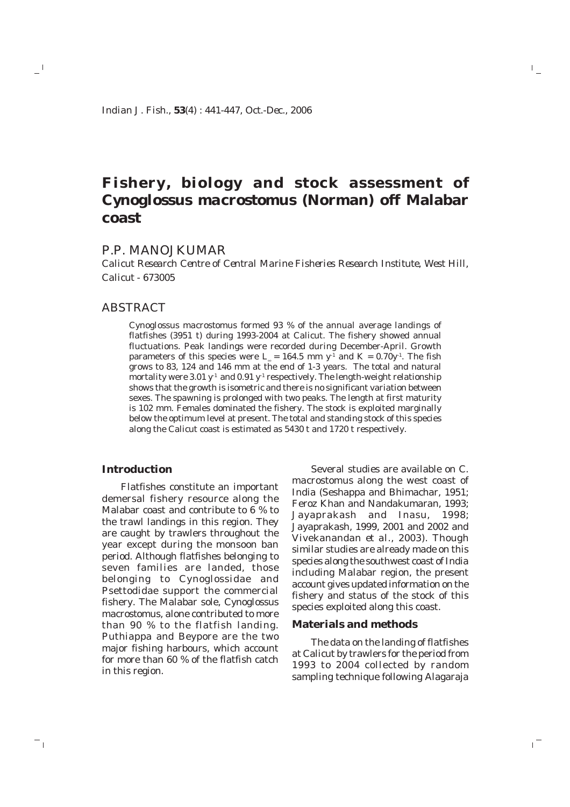*Indian J. Fish., 53(4) : 441-447, Oct.-Dec., 2006*

# **Fishery, biology and stock assessment of** *Cynoglossus macrostomus* **(Norman) off Malabar coast**

# P.P. MANOJKUMAR

*Calicut Research Centre of Central Marine Fisheries Research Institute, West Hill, Calicut - 673005*

# ABSTRACT

 $-$ <sup>1</sup>

 $^{-}$  1

*Cynoglossus macrostomus* formed 93 % of the annual average landings of flatfishes (3951 t) during 1993-2004 at Calicut. The fishery showed annual fluctuations. Peak landings were recorded during December-April. Growth parameters of this species were  $L_{\text{m}} = 164.5$  mm y<sup>-1</sup> and K = 0.70y<sup>-1</sup>. The fish grows to 83, 124 and 146 mm at the end of 1-3 years. The total and natural mortality were 3.01  $y<sup>-1</sup>$  and 0.91  $y<sup>-1</sup>$  respectively. The length-weight relationship shows that the growth is isometric and there is no significant variation between sexes. The spawning is prolonged with two peaks. The length at first maturity is 102 mm. Females dominated the fishery. The stock is exploited marginally below the optimum level at present. The total and standing stock of this species along the Calicut coast is estimated as 5430 t and 1720 t respectively.

## **Introduction**

Flatfishes constitute an important demersal fishery resource along the Malabar coast and contribute to 6 % to the trawl landings in this region. They are caught by trawlers throughout the year except during the monsoon ban period. Although flatfishes belonging to seven families are landed, those belonging to Cynoglossidae and Psettodidae support the commercial fishery. The Malabar sole, *Cynoglossus macrostomus*, alone contributed to more than 90 % to the flatfish landing. Puthiappa and Beypore are the two major fishing harbours, which account for more than 60 % of the flatfish catch in this region.

Several studies are available on *C. macrostomus* along the west coast of India (Seshappa and Bhimachar, 1951; Feroz Khan and Nandakumaran, 1993; Jayaprakash and Inasu, 1998; Jayaprakash, 1999, 2001 and 2002 and Vivekanandan *et al*., 2003). Though similar studies are already made on this species along the southwest coast of India including Malabar region, the present account gives updated information on the fishery and status of the stock of this species exploited along this coast.

 $\mathbb{I}_+$ 

 $\overline{1}$ 

## **Materials and methods**

The data on the landing of flatfishes at Calicut by trawlers for the period from 1993 to 2004 collected by random sampling technique following Alagaraja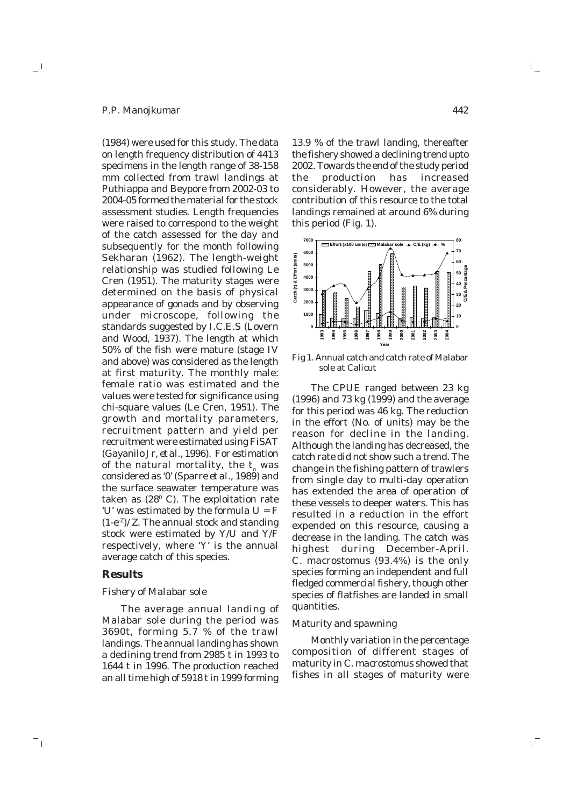#### *P.P. Manojkumar*

 $\overline{\phantom{a}}$ 

(1984) were used for this study. The data on length frequency distribution of 4413 specimens in the length range of 38-158 mm collected from trawl landings at Puthiappa and Beypore from 2002-03 to 2004-05 formed the material for the stock assessment studies. Length frequencies were raised to correspond to the weight of the catch assessed for the day and subsequently for the month following Sekharan (1962). The length-weight relationship was studied following Le Cren (1951). The maturity stages were determined on the basis of physical appearance of gonads and by observing under microscope, following the standards suggested by I.C.E.S (Lovern and Wood, 1937). The length at which 50% of the fish were mature (stage IV and above) was considered as the length at first maturity. The monthly male: female ratio was estimated and the values were tested for significance using chi-square values (Le Cren, 1951). The growth and mortality parameters, recruitment pattern and yield per recruitment were estimated using FiSAT (Gayanilo Jr, *et al*., 1996). For estimation of the natural mortality, the t<sub>o</sub> was considered as '0' (Sparre *et al*., 1989) and the surface seawater temperature was taken as (28<sup>0</sup> C). The exploitation rate 'U' was estimated by the formula U = F  $(1-e^{-z})/Z$ . The annual stock and standing stock were estimated by Y/U and Y/F respectively, where 'Y' is the annual average catch of this species.

#### **Results**

71

# *Fishery of Malabar sole*

The average annual landing of Malabar sole during the period was 3690t, forming 5.7 % of the trawl landings. The annual landing has shown a declining trend from 2985 t in 1993 to 1644 t in 1996. The production reached an all time high of 5918 t in 1999 forming

13.9 % of the trawl landing, thereafter the fishery showed a declining trend upto 2002. Towards the end of the study period the production has increased considerably. However, the average contribution of this resource to the total landings remained at around 6% during this period (Fig. 1).



Fig 1. Annual catch and catch rate of Malabar sole at Calicut

The CPUE ranged between 23 kg (1996) and 73 kg (1999) and the average for this period was 46 kg. The reduction in the effort (No. of units) may be the reason for decline in the landing. Although the landing has decreased, the catch rate did not show such a trend. The change in the fishing pattern of trawlers from single day to multi-day operation has extended the area of operation of these vessels to deeper waters. This has resulted in a reduction in the effort expended on this resource, causing a decrease in the landing. The catch was highest during December-April. *C. macrostomus* (93.4%) is the only species forming an independent and full fledged commercial fishery, though other species of flatfishes are landed in small quantities.

#### *Maturity and spawning*

Monthly variation in the percentage composition of different stages of maturity in *C. macrostomus* showed that fishes in all stages of maturity were

 $^{-}$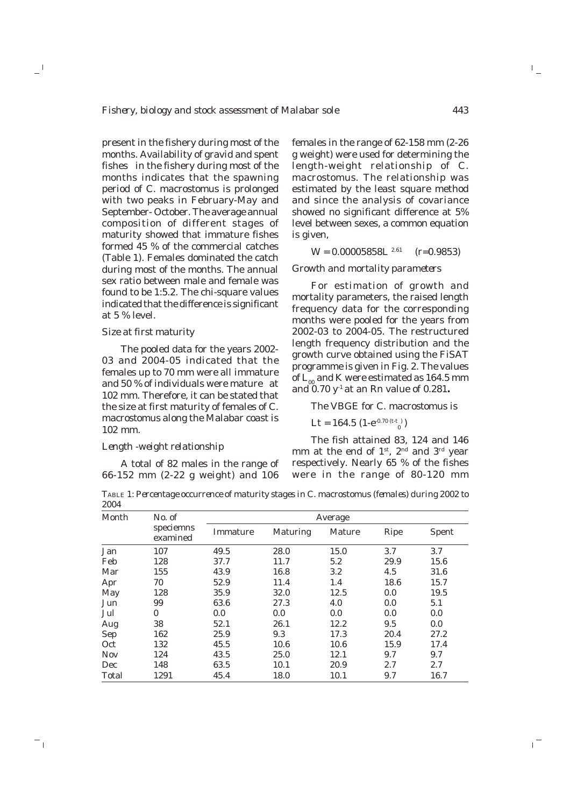present in the fishery during most of the months. Availability of gravid and spent fishes in the fishery during most of the months indicates that the spawning period of *C. macrostomus* is prolonged with two peaks in February-May and September- October. The average annual composition of different stages of maturity showed that immature fishes formed 45 % of the commercial catches (Table 1). Females dominated the catch during most of the months. The annual sex ratio between male and female was found to be 1:5.2. The chi-square values indicated that the difference is significant at 5 % level.

#### *Size at first maturity*

 $\overline{\phantom{a}}$ 

71

The pooled data for the years 2002- 03 and 2004-05 indicated that the females up to 70 mm were all immature and 50 % of individuals were mature at 102 mm. Therefore, it can be stated that the size at first maturity of females of *C. macrostomus* along the Malabar coast is 102 mm.

## *Length -weight relationship*

A total of 82 males in the range of 66-152 mm (2-22 g weight) and 106

females in the range of 62-158 mm (2-26 g weight) were used for determining the length-weight relationship of *C. macrostomus*. The relationship was estimated by the least square method and since the analysis of covariance showed no significant difference at 5% level between sexes, a common equation is given,

$$
W = 0.00005858L^{2.61} \quad (r=0.9853)
$$

## *Growth and mortality parameters*

For estimation of growth and mortality parameters, the raised length frequency data for the corresponding months were pooled for the years from 2002-03 to 2004-05. The restructured length frequency distribution and the growth curve obtained using the FiSAT programme is given in Fig. 2. The values of  $L_{\infty}$  and K were estimated as 164.5 mm and 0.70 y-1 at an Rn value of 0.281**.**

The VBGE for *C. macrostomus* is

$$
Lt = 164.5 (1-e^{-0.70 (t-t)})
$$

The fish attained 83, 124 and 146 mm at the end of  $1^{st}$ ,  $2^{nd}$  and  $3^{rd}$  year respectively. Nearly 65 % of the fishes were in the range of 80-120 mm

TABLE 1: *Percentage occurrence of maturity stages in* C. macrostomus *(females) during 2002 to 2004*

| Month      | No. of<br>speciemns<br>examined | Average  |                 |        |      |              |
|------------|---------------------------------|----------|-----------------|--------|------|--------------|
|            |                                 | Immature | <b>Maturing</b> | Mature | Ripe | <b>Spent</b> |
| Jan        | 107                             | 49.5     | 28.0            | 15.0   | 3.7  | 3.7          |
| Feb        | 128                             | 37.7     | 11.7            | 5.2    | 29.9 | 15.6         |
| Mar        | 155                             | 43.9     | 16.8            | 3.2    | 4.5  | 31.6         |
| Apr        | 70                              | 52.9     | 11.4            | 1.4    | 18.6 | 15.7         |
| May        | 128                             | 35.9     | 32.0            | 12.5   | 0.0  | 19.5         |
| Jun        | 99                              | 63.6     | 27.3            | 4.0    | 0.0  | 5.1          |
| Jul        | $\bf{0}$                        | 0.0      | 0.0             | 0.0    | 0.0  | 0.0          |
| Aug        | 38                              | 52.1     | 26.1            | 12.2   | 9.5  | 0.0          |
| Sep        | 162                             | 25.9     | 9.3             | 17.3   | 20.4 | 27.2         |
| Oct        | 132                             | 45.5     | 10.6            | 10.6   | 15.9 | 17.4         |
| <b>Nov</b> | 124                             | 43.5     | 25.0            | 12.1   | 9.7  | 9.7          |
| Dec        | 148                             | 63.5     | 10.1            | 20.9   | 2.7  | 2.7          |
| Total      | 1291                            | 45.4     | 18.0            | 10.1   | 9.7  | 16.7         |

 $\mathbb{I}_+$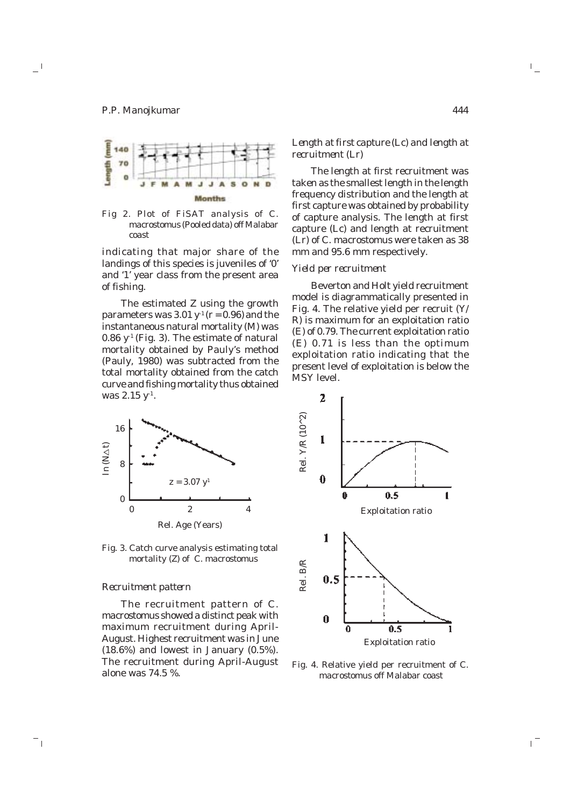$^{-}$ 



Fig 2. Plot of FiSAT analysis of *C. macrostomus* (Pooled data) off Malabar coast

indicating that major share of the landings of this species is juveniles of '0' and '1' year class from the present area of fishing.

The estimated Z using the growth parameters was  $3.01 y^1(r = 0.96)$  and the instantaneous natural mortality (M) was 0.86  $y<sup>-1</sup>$  (Fig. 3). The estimate of natural mortality obtained by Pauly's method (Pauly, 1980) was subtracted from the total mortality obtained from the catch curve and fishing mortality thus obtained was 2.15 y<sup>-1</sup>.



Fig. 3. Catch curve analysis estimating total mortality (Z) of *C. macrostomus*

#### *Recruitment pattern*

The recruitment pattern of *C. macrostomus* showed a distinct peak with maximum recruitment during April-August. Highest recruitment was in June  $(18.6\%)$  and lowest in January  $(0.5\%).$ The recruitment during April-August I he recruitment during April-August Fig. 4. Relative yield per recruitment of *C.*<br>alone was 74.5 %.<br>macrostomus off Malabar coast

# *Length at first capture (Lc) and length at recruitment (Lr)*

The length at first recruitment was taken as the smallest length in the length frequency distribution and the length at first capture was obtained by probability of capture analysis. The length at first capture (Lc) and length at recruitment (Lr) of *C. macrostomus* were taken as 38 mm and 95.6 mm respectively.

## *Yield per recruitment*

Beverton and Holt yield recruitment model is diagrammatically presented in Fig. 4. The relative yield per recruit (Y/ R) is maximum for an exploitation ratio (E) of 0.79. The current exploitation ratio (E) 0.71 is less than the optimum exploitation ratio indicating that the present level of exploitation is below the MSY level.



*macrostomus* off Malabar coast

 $\mathbb{I}_+$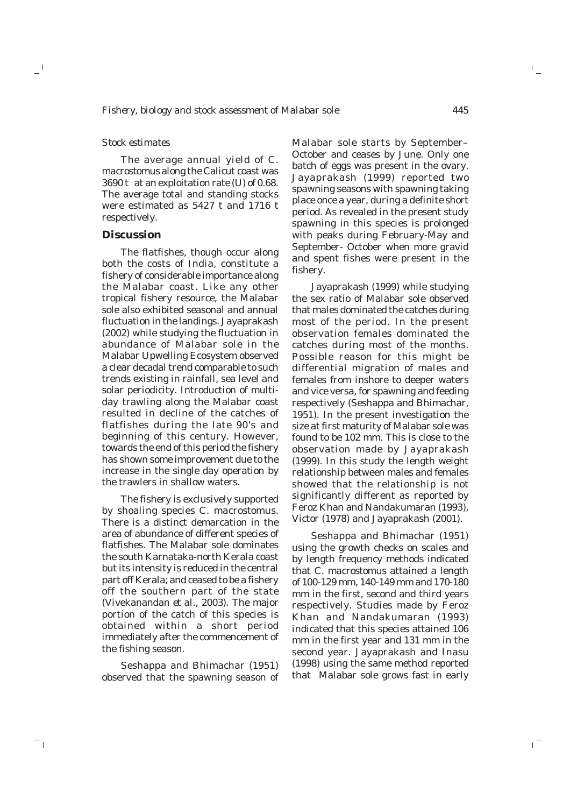# *Stock estimates*

 $\overline{\phantom{a}}$ 

71

The average annual yield of *C. macrostomus* along the Calicut coast was 3690 t at an exploitation rate (U) of 0.68. The average total and standing stocks were estimated as 5427 t and 1716 t respectively.

# **Discussion**

The flatfishes, though occur along both the costs of India, constitute a fishery of considerable importance along the Malabar coast. Like any other tropical fishery resource, the Malabar sole also exhibited seasonal and annual fluctuation in the landings. Jayaprakash (2002) while studying the fluctuation in abundance of Malabar sole in the Malabar Upwelling Ecosystem observed a clear decadal trend comparable to such trends existing in rainfall, sea level and solar periodicity. Introduction of multiday trawling along the Malabar coast resulted in decline of the catches of flatfishes during the late 90's and beginning of this century. However, towards the end of this period the fishery has shown some improvement due to the increase in the single day operation by the trawlers in shallow waters.

The fishery is exclusively supported by shoaling species *C. macrostomus*. There is a distinct demarcation in the area of abundance of different species of flatfishes. The Malabar sole dominates the south Karnataka-north Kerala coast but its intensity is reduced in the central part off Kerala; and ceased to be a fishery off the southern part of the state (Vivekanandan *et al*., 2003). The major portion of the catch of this species is obtained within a short period immediately after the commencement of the fishing season.

Seshappa and Bhimachar (1951) observed that the spawning season of

Malabar sole starts by September– October and ceases by June. Only one batch of eggs was present in the ovary. Jayaprakash (1999) reported two spawning seasons with spawning taking place once a year, during a definite short period. As revealed in the present study spawning in this species is prolonged with peaks during February-May and September- October when more gravid and spent fishes were present in the fishery.

Jayaprakash (1999) while studying the sex ratio of Malabar sole observed that males dominated the catches during most of the period. In the present observation females dominated the catches during most of the months. Possible reason for this might be differential migration of males and females from inshore to deeper waters and vice versa, for spawning and feeding respectively (Seshappa and Bhimachar, 1951). In the present investigation the size at first maturity of Malabar sole was found to be 102 mm. This is close to the observation made by Jayaprakash (1999). In this study the length weight relationship between males and females showed that the relationship is not significantly different as reported by Feroz Khan and Nandakumaran (1993), Victor (1978) and Jayaprakash (2001).

Seshappa and Bhimachar (1951) using the growth checks on scales and by length frequency methods indicated that *C. macrostomus* attained a length of 100-129 mm, 140-149 mm and 170-180 mm in the first, second and third years respectively. Studies made by Feroz Khan and Nandakumaran (1993) indicated that this species attained 106 mm in the first year and 131 mm in the second year. Jayaprakash and Inasu (1998) using the same method reported that Malabar sole grows fast in early  $\mathbb{F}_+$ 

 $\mathbf{r}^{\pm}$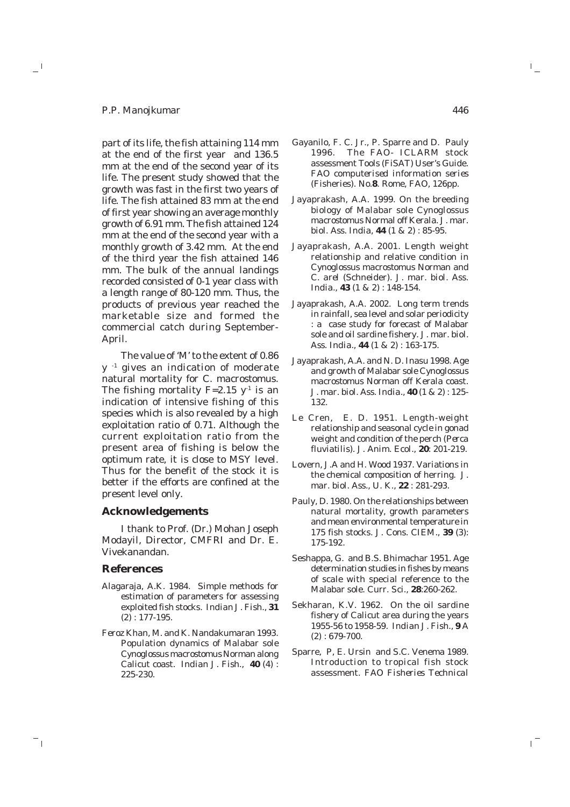## *P.P. Manojkumar*

 $\mathbf{u}^{\top}$ 

part of its life, the fish attaining 114 mm at the end of the first year and 136.5 mm at the end of the second year of its life. The present study showed that the growth was fast in the first two years of life. The fish attained 83 mm at the end of first year showing an average monthly growth of 6.91 mm. The fish attained 124 mm at the end of the second year with a monthly growth of 3.42 mm. At the end of the third year the fish attained 146 mm. The bulk of the annual landings recorded consisted of 0-1 year class with a length range of 80-120 mm. Thus, the products of previous year reached the marketable size and formed the commercial catch during September-April.

The value of 'M' to the extent of 0.86 y -1 gives an indication of moderate natural mortality for *C. macrostomus*. The fishing mortality  $F=2.15$  y<sup>-1</sup> is an indication of intensive fishing of this species which is also revealed by a high exploitation ratio of 0.71. Although the current exploitation ratio from the present area of fishing is below the optimum rate, it is close to MSY level. Thus for the benefit of the stock it is better if the efforts are confined at the present level only.

# **Acknowledgements**

I thank to Prof. (Dr.) Mohan Joseph Modayil, Director, CMFRI and Dr. E. Vivekanandan.

#### **References**

 $^{-}$  r

- Alagaraja, A.K. 1984. Simple methods for estimation of parameters for assessing exploited fish stocks. *Indian J. Fish*., **31** (2) : 177-195.
- Feroz Khan, M. and K. Nandakumaran 1993. Population dynamics of Malabar sole *Cynoglossus macrostomus* Norman along Calicut coast. *Indian J. Fish*., **40** (4) : 225-230.
- Gayanilo, F. C. Jr., P. Sparre and D. Pauly 1996. The FAO- ICLARM stock assessment Tools (FiSAT) User's Guide*. FAO computerised information series* (Fisheries)*.* No.**8**. Rome, FAO, 126pp.
- Jayaprakash, A.A. 1999. On the breeding biology of Malabar sole *Cynoglossus macrostomus* Normal off Kerala. *J. mar. biol. Ass. India,* **44** (1 & 2) : 85-95.
- Jayaprakash, A.A. 2001. Length weight relationship and relative condition in *Cynoglossus macrostomus* Norman and *C. arel* (Schneider). *J. mar. biol. Ass. India*., **43** (1 & 2) : 148-154.
- Jayaprakash, A.A. 2002. Long term trends in rainfall, sea level and solar periodicity : a case study for forecast of Malabar sole and oil sardine fishery. *J. mar. biol. Ass. India*., **44** (1 & 2) : 163-175.
- Jayaprakash, A.A. and N. D. Inasu 1998. Age and growth of Malabar sole *Cynoglossus macrostomus* Norman off Kerala coast. *J. mar. biol. Ass. India*., **40** (1 & 2) : 125- 132.
- Le Cren, E. D. 1951. Length-weight relationship and seasonal cycle in gonad weight and condition of the perch (*Perca fluviatilis). J. Anim. Ecol*., **20**: 201-219.
- Lovern, J.A and H. Wood 1937. Variations in the chemical composition of herring. *J. mar. biol. Ass*., U. K., **22** : 281-293.
- Pauly, D. 1980. On the relationships between natural mortality, growth parameters and mean environmental temperature in 175 fish stocks. *J. Cons. CIEM*., **39** (3): 175-192.
- Seshappa, G. and B.S. Bhimachar 1951. Age determination studies in fishes by means of scale with special reference to the Malabar sole. *Curr. Sci*., **28**:260-262.
- Sekharan, K.V. 1962. On the oil sardine fishery of Calicut area during the years 1955-56 to 1958-59. *Indian J. Fish*., **9** A (2) : 679-700.
- Sparre, P, E. Ursin and S.C. Venema 1989. Introduction to tropical fish stock assessment. *FAO Fisheries Technical*

 $\mathbb{L}_+$